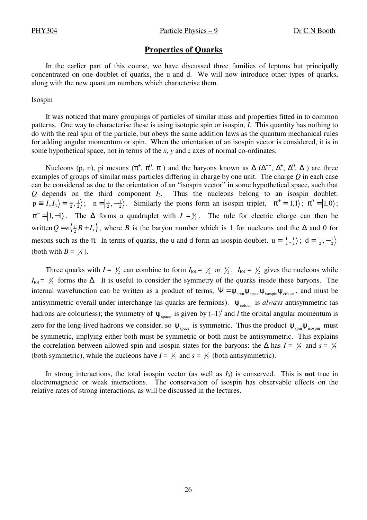### **Properties of Quarks**

In the earlier part of this course, we have discussed three families of leptons but principally concentrated on one doublet of quarks, the u and d. We will now introduce other types of quarks, along with the new quantum numbers which characterise them.

#### Isospin

It was noticed that many groupings of particles of similar mass and properties fitted in to common patterns. One way to characterise these is using isotopic spin or isospin, *I*. This quantity has nothing to do with the real spin of the particle, but obeys the same addition laws as the quantum mechanical rules for adding angular momentum or spin. When the orientation of an isospin vector is considered, it is in some hypothetical space, not in terms of the *x*, *y* and *z* axes of normal co-ordinates.

Nucleons (p, n), pi mesons  $(\pi^+, \pi^0, \pi^-)$  and the baryons known as  $\Delta$  ( $\Delta^{++}$ ,  $\Delta^+, \Delta^0, \Delta^-$ ) are three examples of groups of similar mass particles differing in charge by one unit. The charge *Q* in each case can be considered as due to the orientation of an "isospin vector" in some hypothetical space, such that *Q* depends on the third component *I*3. Thus the nucleons belong to an isospin doublet:  $p = |I, I_3\rangle = |\frac{1}{2}, \frac{1}{2}\rangle; \quad n = |\frac{1}{2}, -\frac{1}{2}\rangle.$  Similarly the pions form an isospin triplet,  $\pi^+ = |1,1\rangle; \pi^0 = |1,0\rangle;$  $\pi^- = |1,-1\rangle$ . The  $\Delta$  forms a quadruplet with  $I = \frac{3}{2}$ . The rule for electric charge can then be written  $Q = e(\frac{1}{2}B + I_3)$ , where *B* is the baryon number which is 1 for nucleons and the  $\Delta$  and 0 for mesons such as the  $\pi$ . In terms of quarks, the u and d form an isospin doublet,  $u = (\frac{1}{2}, \frac{1}{2})$ ;  $d = (\frac{1}{2}, -\frac{1}{2})$ (both with  $B = \frac{1}{3}$ ).

Three quarks with  $I = \frac{1}{2}$  can combine to form  $I_{\text{tot}} = \frac{1}{2}$  or  $\frac{3}{2}$ .  $I_{\text{tot}} = \frac{1}{2}$  gives the nucleons while  $I_{\text{tot}}$  =  $\frac{3}{2}$  forms the  $\Delta$ . It is useful to consider the symmetry of the quarks inside these baryons. The internal wavefunction can be written as a product of terms,  $\Psi = \psi_{spin} \psi_{space} \psi_{isospin} \psi_{color}$ , and must be antisymmetric overall under interchange (as quarks are fermions).  $\Psi_{\text{colour}}$  is *always* antisymmetric (as hadrons are colourless); the symmetry of  $\psi_{\text{space}}$  is given by  $(-1)^l$  and *l* the orbital angular momentum is zero for the long-lived hadrons we consider, so  $\psi_{\text{space}}$  is symmetric. Thus the product  $\psi_{\text{spin}}\psi_{\text{isospin}}$  must be symmetric, implying either both must be symmetric or both must be antisymmetric. This explains the correlation between allowed spin and isospin states for the baryons: the  $\Delta$  has  $I = \frac{3}{2}$  and  $s = \frac{3}{2}$ (both symmetric), while the nucleons have  $I = \frac{1}{2}$  and  $s = \frac{1}{2}$  (both antisymmetric).

In strong interactions, the total isospin vector (as well as  $I_3$ ) is conserved. This is **not** true in electromagnetic or weak interactions. The conservation of isospin has observable effects on the relative rates of strong interactions, as will be discussed in the lectures.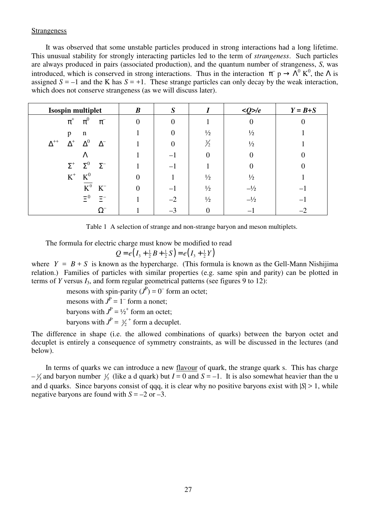### Strangeness

It was observed that some unstable particles produced in strong interactions had a long lifetime. This unusual stability for strongly interacting particles led to the term of *strangeness*. Such particles are always produced in pairs (associated production), and the quantum number of strangeness, *S*, was introduced, which is conserved in strong interactions. Thus in the interaction  $\pi^- p \to \Lambda^0 K^0$ , the  $\Lambda$  is assigned  $S = -1$  and the K has  $S = +1$ . These strange particles can only decay by the weak interaction, which does not conserve strangeness (as we will discuss later).

| <b>Isospin multiplet</b>                           | $\boldsymbol{B}$ | $\boldsymbol{S}$ |               | $Q$ >/e        | $Y = B + S$ |
|----------------------------------------------------|------------------|------------------|---------------|----------------|-------------|
| $\pi^0$<br>$\pi^{\scriptscriptstyle +}$<br>$\pi^-$ | $\Omega$         |                  |               |                |             |
| $\mathbf n$<br>p                                   |                  |                  | $\frac{1}{2}$ | $\frac{1}{2}$  |             |
| $\Delta^0$<br>$\Delta^{++}$<br>$\Delta^+$          |                  |                  | $\frac{3}{2}$ | $\frac{1}{2}$  |             |
| Λ                                                  |                  |                  |               |                |             |
| $\Sigma^+$ $\Sigma^0$<br>$\Sigma^-$                |                  |                  |               |                |             |
| $\mathbf{K}^0$<br>$\mbox{K}^+$                     |                  |                  | $\frac{1}{2}$ | $\frac{1}{2}$  |             |
| $\mathbf{K}^0$<br>$\rm K^-$                        |                  |                  | $\frac{1}{2}$ | $-\frac{1}{2}$ |             |
| $\Xi^0$<br>$\Xi^-$                                 |                  | $-2$             | $\frac{1}{2}$ | $-1/2$         |             |
| $\Omega^-$                                         |                  | $-3$             |               |                |             |

Table 1 A selection of strange and non-strange baryon and meson multiplets.

The formula for electric charge must know be modified to read

$$
Q = e(I_3 + \frac{1}{2}B + \frac{1}{2}S) = e(I_3 + \frac{1}{2}Y)
$$

where  $Y = B + S$  is known as the hypercharge. (This formula is known as the Gell-Mann Nishijima relation.) Families of particles with similar properties (e.g. same spin and parity) can be plotted in terms of *Y* versus *I*3, and form regular geometrical patterns (see figures 9 to 12):

mesons with spin-parity  $(J^P) = 0^-$  form an octet;

mesons with  $J<sup>P</sup> = 1<sup>-</sup>$  form a nonet;

baryons with  $J<sup>P</sup> = 1/2<sup>+</sup>$  form an octet;

baryons with  $J^P = \frac{3}{2}^+$  form a decuplet.

The difference in shape (i.e. the allowed combinations of quarks) between the baryon octet and decuplet is entirely a consequence of symmetry constraints, as will be discussed in the lectures (and below).

In terms of quarks we can introduce a new flavour of quark, the strange quark s. This has charge  $-\frac{1}{3}$  and baryon number  $\frac{1}{3}$  (like a d quark) but  $I = 0$  and  $S = -1$ . It is also somewhat heavier than the u and d quarks. Since baryons consist of qqq, it is clear why no positive baryons exist with |*S*| > 1, while negative baryons are found with  $S = -2$  or  $-3$ .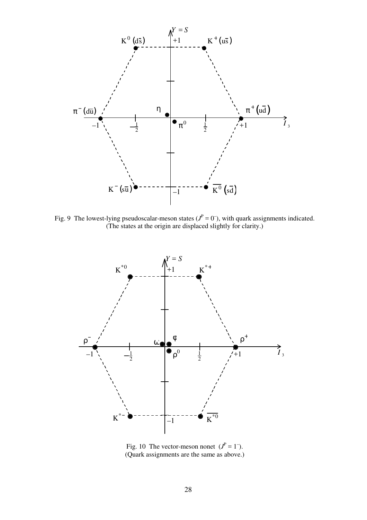

Fig. 9 The lowest-lying pseudoscalar-meson states  $(J^P = 0^-)$ , with quark assignments indicated. (The states at the origin are displaced slightly for clarity.)



Fig. 10 The vector-meson nonet  $(J^P = 1^-)$ . (Quark assignments are the same as above.)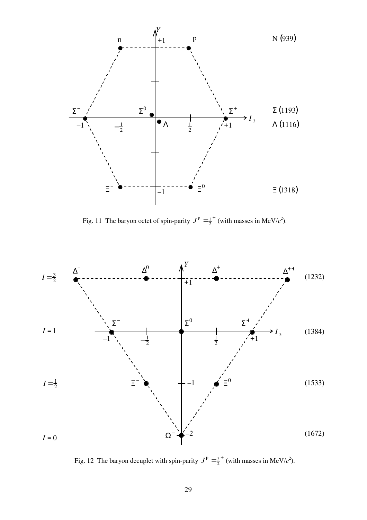

Fig. 11 The baryon octet of spin-parity  $J^P = \frac{1}{2}^+$  (with masses in MeV/ $c^2$ ).



Fig. 12 The baryon decuplet with spin-parity  $J^P = \frac{3}{2}^+$  (with masses in MeV/ $c^2$ ).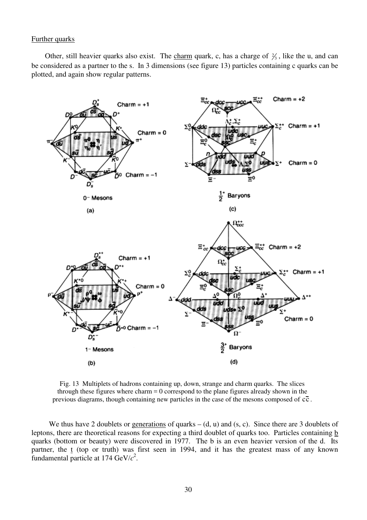## Further quarks

Other, still heavier quarks also exist. The charm quark, c, has a charge of  $\frac{2}{3}$ , like the u, and can be considered as a partner to the s. In 3 dimensions (see figure 13) particles containing c quarks can be plotted, and again show regular patterns.



Fig. 13 Multiplets of hadrons containing up, down, strange and charm quarks. The slices through these figures where charm  $= 0$  correspond to the plane figures already shown in the previous diagrams, though containing new particles in the case of the mesons composed of  $c\bar{c}$ .

We thus have 2 doublets or generations of quarks  $-$  (d, u) and (s, c). Since there are 3 doublets of leptons, there are theoretical reasons for expecting a third doublet of quarks too. Particles containing b quarks (bottom or beauty) were discovered in 1977. The b is an even heavier version of the d. Its partner, the t (top or truth) was first seen in 1994, and it has the greatest mass of any known fundamental particle at  $174 \text{ GeV}/c^2$ .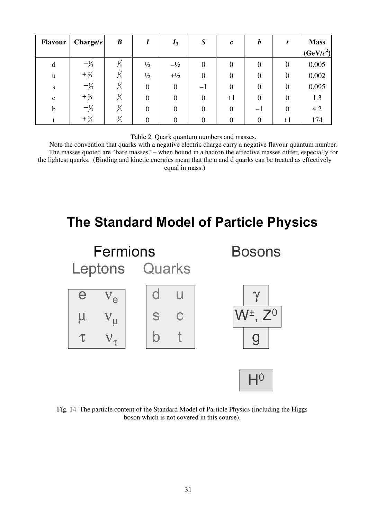| <b>Flavour</b> | Change/e        | $\boldsymbol{B}$ |                  | $I_3$  | S                | $\mathbf{c}$ | b              |                | <b>Mass</b><br>(GeV/c <sup>2</sup> ) |
|----------------|-----------------|------------------|------------------|--------|------------------|--------------|----------------|----------------|--------------------------------------|
| d              | $-\frac{1}{3}$  | $\frac{1}{3}$    | $\frac{1}{2}$    | $-1/2$ | $\boldsymbol{0}$ | $\theta$     | $\overline{0}$ | $\theta$       | 0.005                                |
| u              | $+2/3$          | 13               | $\frac{1}{2}$    | $+1/2$ | $\boldsymbol{0}$ |              | 0              | $\theta$       | 0.002                                |
| S              | $-\frac{1}{3}$  | 73               | $\boldsymbol{0}$ | 0      | $-\mathbf{I}$    | $\theta$     | $\overline{0}$ | $\overline{0}$ | 0.095                                |
| $\mathbf c$    | $+ \frac{2}{3}$ |                  | 0                |        |                  | $+1$         | $\overline{0}$ | $\theta$       | 1.3                                  |
| $\mathbf b$    | $-\frac{1}{3}$  |                  | 0                |        |                  |              | $-\mathbf{I}$  | $\Omega$       | 4.2                                  |
|                | $+ \frac{2}{3}$ |                  |                  |        |                  |              |                | $+1$           | 174                                  |

Table 2 Quark quantum numbers and masses.

Note the convention that quarks with a negative electric charge carry a negative flavour quantum number. The masses quoted are "bare masses" – when bound in a hadron the effective masses differ, especially for the lightest quarks. (Binding and kinetic energies mean that the u and d quarks can be treated as effectively equal in mass.)

# The Standard Model of Particle Physics



Fig. 14 The particle content of the Standard Model of Particle Physics (including the Higgs boson which is not covered in this course).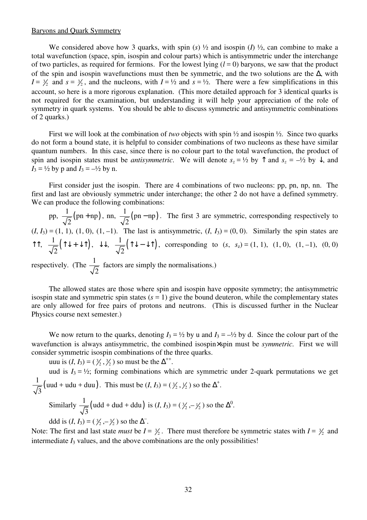### Baryons and Quark Symmetry

We considered above how 3 quarks, with spin  $(s)$   $\frac{1}{2}$  and isospin  $(I)$   $\frac{1}{2}$ , can combine to make a total wavefunction (space, spin, isospin and colour parts) which is antisymmetric under the interchange of two particles, as required for fermions. For the lowest lying  $(l = 0)$  baryons, we saw that the product of the spin and isospin wavefunctions must then be symmetric, and the two solutions are the ∆, with  $I = \frac{3}{2}$  and  $s = \frac{3}{2}$ , and the nucleons, with  $I = \frac{1}{2}$  and  $s = \frac{1}{2}$ . There were a few simplifications in this account, so here is a more rigorous explanation. (This more detailed approach for 3 identical quarks is not required for the examination, but understanding it will help your appreciation of the role of symmetry in quark systems. You should be able to discuss symmetric and antisymmetric combinations of 2 quarks.)

First we will look at the combination of *two* objects with spin ½ and isospin ½. Since two quarks do not form a bound state, it is helpful to consider combinations of two nucleons as these have similar quantum numbers. In this case, since there is no colour part to the total wavefunction, the product of spin and isospin states must be *antisymmetric*. We will denote  $s_z = \frac{1}{2}$  by  $\uparrow$  and  $s_z = -\frac{1}{2}$  by  $\downarrow$ , and  $I_3 = \frac{1}{2}$  by p and  $I_3 = -\frac{1}{2}$  by n.

First consider just the isospin. There are 4 combinations of two nucleons: pp, pn, np, nn. The first and last are obviously symmetric under interchange; the other 2 do not have a defined symmetry. We can produce the following combinations:

pp,  $\frac{1}{\sqrt{2}}$ (pn + np) 2  $+ np$ , nn,  $\frac{1}{\sqrt{2}} (pn - np)$ 2 − np). The first 3 are symmetric, corresponding respectively to  $(I, I_3) = (1, 1), (1, 0), (1, -1)$ . The last is antisymmetric,  $(I, I_3) = (0, 0)$ . Similarly the spin states are  $\uparrow \uparrow$ ,  $\frac{1}{\sqrt{2}}(\uparrow \downarrow + \downarrow \uparrow)$ ,  $\downarrow \downarrow$ ,  $\frac{1}{\sqrt{2}}(\uparrow \downarrow - \downarrow \uparrow)$  $\uparrow \downarrow - \downarrow \uparrow$ ), corresponding to (*s*, *s*<sub>z</sub>) = (1, 1), (1, 0), (1, −1), (0, 0) respectively. (The  $\frac{1}{\sqrt{2}}$ 2 factors are simply the normalisations.)

The allowed states are those where spin and isospin have opposite symmetry; the antisymmetric isospin state and symmetric spin states  $(s = 1)$  give the bound deuteron, while the complementary states are only allowed for free pairs of protons and neutrons. (This is discussed further in the Nuclear Physics course next semester.)

We now return to the quarks, denoting  $I_3 = \frac{1}{2}$  by u and  $I_3 = -\frac{1}{2}$  by d. Since the colour part of the wavefunction is always antisymmetric, the combined isospin×spin must be *symmetric*. First we will consider symmetric isospin combinations of the three quarks.

uuu is  $(I, I_3) = (\frac{3}{2}, \frac{3}{2})$  so must be the  $\Delta^{++}$ .

uud is  $I_3 = \frac{1}{2}$ ; forming combinations which are symmetric under 2-quark permutations we get  $\frac{1}{\sqrt{2}}$ (uud + udu + duu) 3 This must be  $(I, I_3) = (\frac{3}{2}, \frac{1}{2})$  so the  $\Delta^+$ .

Similarly  $\frac{1}{\sqrt{2}}$  (udd + dud + ddu) 3 is  $(I, I_3) = (\frac{3}{2}, -\frac{1}{2})$  so the  $\Delta^0$ . ddd is  $(I, I_3) = (\frac{3}{2}, -\frac{3}{2})$  so the  $\Delta^{-}$ .

Note: The first and last state *must* be  $I = \frac{3}{2}$ . There must therefore be symmetric states with  $I = \frac{3}{2}$  and intermediate  $I_3$  values, and the above combinations are the only possibilities!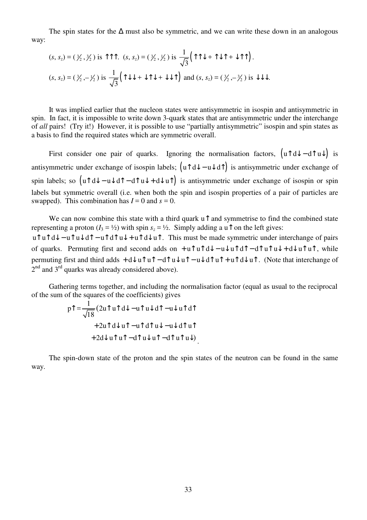The spin states for the  $\Delta$  must also be symmetric, and we can write these down in an analogous way:

$$
(s, s_z) = (\frac{3}{2}, \frac{3}{2}) \text{ is } \uparrow \uparrow \uparrow. \quad (s, s_z) = (\frac{3}{2}, \frac{1}{2}) \text{ is } \frac{1}{\sqrt{3}} (\uparrow \uparrow \downarrow + \uparrow \downarrow \uparrow + \downarrow \uparrow \uparrow).
$$
\n
$$
(s, s_z) = (\frac{3}{2}, -\frac{1}{2}) \text{ is } \frac{1}{\sqrt{3}} (\uparrow \downarrow \downarrow + \downarrow \uparrow \downarrow + \downarrow \downarrow \uparrow) \text{ and } (s, s_z) = (\frac{3}{2}, -\frac{3}{2}) \text{ is } \downarrow \downarrow \downarrow.
$$

It was implied earlier that the nucleon states were antisymmetric in isospin and antisymmetric in spin. In fact, it is impossible to write down 3-quark states that are antisymmetric under the interchange of *all* pairs! (Try it!) However, it is possible to use "partially antisymmetric" isospin and spin states as a basis to find the required states which are symmetric overall.

First consider one pair of quarks. Ignoring the normalisation factors,  $(u \uparrow d\downarrow - d \uparrow u\downarrow)$  is antisymmetric under exchange of isospin labels;  $(u \uparrow d\downarrow - u \downarrow d\uparrow)$  is antisymmetric under exchange of spin labels; so  $(u \nightharpoonup d + u \nightharpoonup d + d \nightharpoonup u + d \nightharpoonup u$  is antisymmetric under exchange of isospin or spin labels but symmetric overall (i.e. when both the spin and isospin properties of a pair of particles are swapped). This combination has  $I = 0$  and  $s = 0$ .

We can now combine this state with a third quark  $\mathfrak{u}$  and symmetrise to find the combined state representing a proton ( $I_3 = \frac{1}{2}$ ) with spin  $s_z = \frac{1}{2}$ . Simply adding a u<sup> $\uparrow$ </sup> on the left gives: u  $\int u \cdot d\theta - u \cdot d\theta = u \cdot d\theta + u \cdot d\theta + u \cdot d\theta$ . This must be made symmetric under interchange of pairs of quarks. Permuting first and second adds on  $+ u \hat{ } u \hat{ } d \hat{ } - u \hat{ } u \hat{ } d \hat{ } - d \hat{ } u \hat{ } u \hat{ } u + d \hat{ } u \hat{ } u \hat{ } u$ , while permuting first and third adds +  $d\downarrow u\uparrow u\uparrow - d\uparrow u\downarrow u\uparrow - u\downarrow d\uparrow u\uparrow + u\uparrow d\downarrow u\uparrow$ . (Note that interchange of  $2<sup>nd</sup>$  and  $3<sup>rd</sup>$  quarks was already considered above).

Gathering terms together, and including the normalisation factor (equal as usual to the reciprocal of the sum of the squares of the coefficients) gives

$$
p\uparrow = \frac{1}{\sqrt{18}} (2u\uparrow u\uparrow d\downarrow - u\uparrow u\downarrow d\uparrow - u\downarrow u\uparrow d\uparrow
$$

$$
+ 2u\uparrow d\downarrow u\uparrow - u\uparrow d\uparrow u\downarrow - u\downarrow d\uparrow u\uparrow
$$

$$
+ 2d\downarrow u\uparrow u\uparrow - d\uparrow u\downarrow u\uparrow - d\uparrow u\uparrow u\downarrow).
$$

The spin-down state of the proton and the spin states of the neutron can be found in the same way.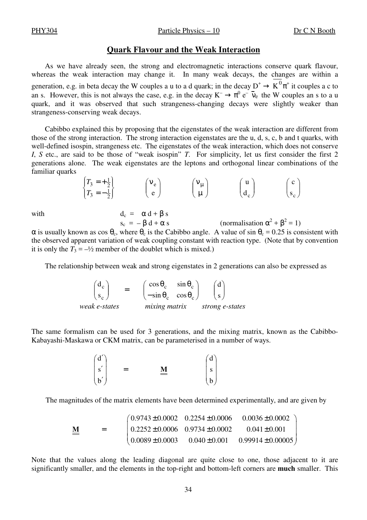PHY304 Particle Physics – 10 Dr C N Booth

### **Quark Flavour and the Weak Interaction**

As we have already seen, the strong and electromagnetic interactions conserve quark flavour, whereas the weak interaction may change it. In many weak decays, the changes are within a generation, e.g. in beta decay the W couples a u to a d quark; in the decay  $D^+ \to K^0 \pi^+$  it couples a c to an s. However, this is not always the case, e.g. in the decay  $K^- \to \pi^0 e^- \bar{\nu}_e$  the W couples an s to a u quark, and it was observed that such strangeness-changing decays were slightly weaker than strangeness-conserving weak decays.

Cabibbo explained this by proposing that the eigenstates of the weak interaction are different from those of the strong interaction. The strong interaction eigenstates are the u, d, s, c, b and t quarks, with well-defined isospin, strangeness etc. The eigenstates of the weak interaction, which does not conserve *I*, *S* etc., are said to be those of "weak isospin" *T*. For simplicity, let us first consider the first 2 generations alone. The weak eigenstates are the leptons and orthogonal linear combinations of the familiar quarks

$$
\begin{Bmatrix} T_3 = +\frac{1}{2} \\ T_3 = -\frac{1}{2} \end{Bmatrix} \qquad \begin{pmatrix} \mathbf{v}_e \\ \mathbf{e} \end{pmatrix} \qquad \begin{pmatrix} \mathbf{v}_\mu \\ \mu \end{pmatrix} \qquad \begin{pmatrix} \mathbf{u} \\ \mathbf{d}_c \end{pmatrix} \qquad \begin{pmatrix} \mathbf{c} \\ \mathbf{s}_c \end{pmatrix}
$$

with  $d_c = \alpha d + \beta s$ 

 $^{2} + \beta^{2} = 1$  $\alpha$  is usually known as cos  $\theta_c$ , where  $\theta_c$  is the Cabibbo angle. A value of sin  $\theta_c = 0.25$  is consistent with the observed apparent variation of weak coupling constant with reaction type. (Note that by convention it is only the  $T_3 = -\frac{1}{2}$  member of the doublet which is mixed.)

The relationship between weak and strong eigenstates in 2 generations can also be expressed as

| $d_c$         | $(\cos \theta_c - \sin \theta_c)$               |  | (d)             |  |
|---------------|-------------------------------------------------|--|-----------------|--|
| $S_{c}$       | $\left(-\sin\theta_c \quad \cos\theta_c\right)$ |  |                 |  |
| weak e-states | mixing matrix                                   |  | strong e-states |  |

 $s_c = -\beta d + \alpha s$ 

The same formalism can be used for 3 generations, and the mixing matrix, known as the Cabibbo-Kabayashi-Maskawa or CKM matrix, can be parameterised in a number of ways.

$$
\begin{pmatrix} d' \\ s' \\ b' \end{pmatrix} = \underline{\underline{M}} \qquad \begin{pmatrix} d \\ s \\ b \end{pmatrix}
$$

The magnitudes of the matrix elements have been determined experimentally, and are given by

$$
\underline{\mathbf{M}} = \begin{pmatrix} 0.9743 \pm 0.0002 & 0.2254 \pm 0.0006 & 0.0036 \pm 0.0002 \\ 0.2252 \pm 0.0006 & 0.9734 \pm 0.0002 & 0.041 \pm 0.001 \\ 0.0089 \pm 0.0003 & 0.040 \pm 0.001 & 0.99914 \pm 0.00005 \end{pmatrix}
$$

Note that the values along the leading diagonal are quite close to one, those adjacent to it are significantly smaller, and the elements in the top-right and bottom-left corners are **much** smaller. This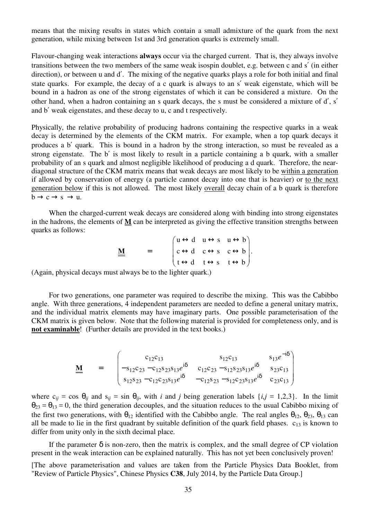means that the mixing results in states which contain a small admixture of the quark from the next generation, while mixing between 1st and 3rd generation quarks is extremely small.

Flavour-changing weak interactions **always** occur via the charged current. That is, they always involve transitions between the two members of the same weak isospin doublet, e.g. between c and s′ (in either direction), or between u and d'. The mixing of the negative quarks plays a role for both initial and final state quarks. For example, the decay of a c quark is always to an s′ weak eigenstate, which will be bound in a hadron as one of the strong eigenstates of which it can be considered a mixture. On the other hand, when a hadron containing an s quark decays, the s must be considered a mixture of d′, s′ and b′ weak eigenstates, and these decay to u, c and t respectively.

Physically, the relative probability of producing hadrons containing the respective quarks in a weak decay is determined by the elements of the CKM matrix. For example, when a top quark decays it produces a b′ quark. This is bound in a hadron by the strong interaction, so must be revealed as a strong eigenstate. The b′ is most likely to result in a particle containing a b quark, with a smaller probability of an s quark and almost negligible likelihood of producing a d quark. Therefore, the neardiagonal structure of the CKM matrix means that weak decays are most likely to be within a generation if allowed by conservation of energy (a particle cannot decay into one that is heavier) or to the next generation below if this is not allowed. The most likely overall decay chain of a b quark is therefore  $b \rightarrow c \rightarrow s \rightarrow u$ .

When the charged-current weak decays are considered along with binding into strong eigenstates in the hadrons, the elements of **M** can be interpreted as giving the effective transition strengths between quarks as follows:

$$
\underline{\underline{M}} = \begin{pmatrix} u \leftrightarrow d & u \leftrightarrow s & u \leftrightarrow b \\ c \leftrightarrow d & c \leftrightarrow s & c \leftrightarrow b \\ t \leftrightarrow d & t \leftrightarrow s & t \leftrightarrow b \end{pmatrix}.
$$

(Again, physical decays must always be to the lighter quark.)

For two generations, one parameter was required to describe the mixing. This was the Cabibbo angle. With three generations, 4 independent parameters are needed to define a general unitary matrix, and the individual matrix elements may have imaginary parts. One possible parameterisation of the CKM matrix is given below. Note that the following material is provided for completeness only, and is **not examinable**! (Further details are provided in the text books.)

$$
\underline{\underline{M}} = \begin{pmatrix} c_{12}c_{13} & s_{12}c_{13} & s_{13}e^{-i\delta} \\ -s_{12}c_{23} - c_{12}s_{23}s_{13}e^{i\delta} & c_{12}c_{23} - s_{12}s_{23}s_{13}e^{i\delta} & s_{23}c_{13} \\ s_{12}s_{23} - c_{12}c_{23}s_{13}e^{i\delta} & -c_{12}s_{23} - s_{12}c_{23}s_{13}e^{i\delta} & c_{23}c_{13} \end{pmatrix}
$$

where  $c_{ij} = \cos \theta_{ij}$  and  $s_{ij} = \sin \theta_{ij}$ , with *i* and *j* being generation labels  $\{i, j = 1, 2, 3\}$ . In the limit  $\theta_{23} = \theta_{13} = 0$ , the third generation decouples, and the situation reduces to the usual Cabibbo mixing of the first two generations, with  $\theta_{12}$  identified with the Cabibbo angle. The real angles  $\theta_{12}$ ,  $\theta_{23}$ ,  $\theta_{13}$  can all be made to lie in the first quadrant by suitable definition of the quark field phases.  $c_{13}$  is known to differ from unity only in the sixth decimal place.

If the parameter  $\delta$  is non-zero, then the matrix is complex, and the small degree of CP violation present in the weak interaction can be explained naturally. This has not yet been conclusively proven!

<sup>[</sup>The above parameterisation and values are taken from the Particle Physics Data Booklet, from "Review of Particle Physics", Chinese Physics **C38**, July 2014, by the Particle Data Group.]